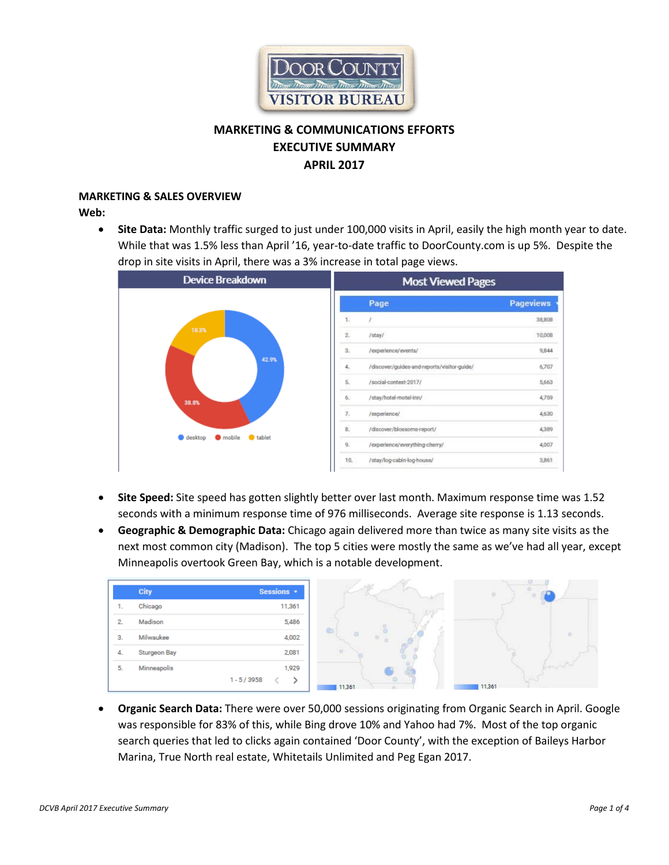

# **MARKETING & COMMUNICATIONS EFFORTS EXECUTIVE SUMMARY APRIL 2017**

# **MARKETING & SALES OVERVIEW**

**Web:**

• **Site Data:** Monthly traffic surged to just under 100,000 visits in April, easily the high month year to date. While that was 1.5% less than April '16, year-to-date traffic to DoorCounty.com is up 5%. Despite the drop in site visits in April, there was a 3% increase in total page views.



- **Site Speed:** Site speed has gotten slightly better over last month. Maximum response time was 1.52 seconds with a minimum response time of 976 milliseconds. Average site response is 1.13 seconds.
- **Geographic & Demographic Data:** Chicago again delivered more than twice as many site visits as the next most common city (Madison). The top 5 cities were mostly the same as we've had all year, except Minneapolis overtook Green Bay, which is a notable development.

|               | City         | Sessions *   |
|---------------|--------------|--------------|
| ٠.            | Chicago      | 11,361       |
| $\mathcal{D}$ | Madison      | 5,486        |
| 3.            | Milwaukee    | 4,002        |
| 4.            | Sturgeon Bay | 2,081        |
| 5.            | Minneapolis  | 1,929        |
|               |              | $1 - 5/3958$ |

• **Organic Search Data:** There were over 50,000 sessions originating from Organic Search in April. Google was responsible for 83% of this, while Bing drove 10% and Yahoo had 7%. Most of the top organic search queries that led to clicks again contained 'Door County', with the exception of Baileys Harbor Marina, True North real estate, Whitetails Unlimited and Peg Egan 2017.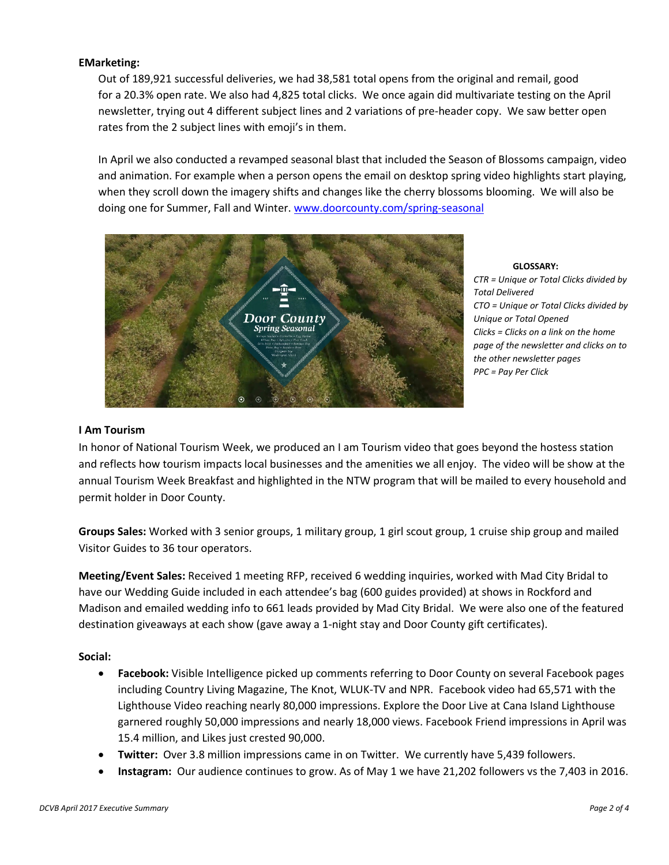# **EMarketing:**

Out of 189,921 successful deliveries, we had 38,581 total opens from the original and remail, good for a 20.3% open rate. We also had 4,825 total clicks. We once again did multivariate testing on the April newsletter, trying out 4 different subject lines and 2 variations of pre-header copy. We saw better open rates from the 2 subject lines with emoji's in them.

In April we also conducted a revamped seasonal blast that included the Season of Blossoms campaign, video and animation. For example when a person opens the email on desktop spring video highlights start playing, when they scroll down the imagery shifts and changes like the cherry blossoms blooming. We will also be doing one for Summer, Fall and Winter. [www.doorcounty.com/spring-seasonal](http://www.doorcounty.com/spring-seasonal)



**GLOSSARY:** 

*CTR = Unique or Total Clicks divided by Total Delivered CTO = Unique or Total Clicks divided by Unique or Total Opened Clicks = Clicks on a link on the home page of the newsletter and clicks on to the other newsletter pages PPC = Pay Per Click* 

#### **I Am Tourism**

In honor of National Tourism Week, we produced an I am Tourism video that goes beyond the hostess station and reflects how tourism impacts local businesses and the amenities we all enjoy. The video will be show at the annual Tourism Week Breakfast and highlighted in the NTW program that will be mailed to every household and permit holder in Door County.

**Groups Sales:** Worked with 3 senior groups, 1 military group, 1 girl scout group, 1 cruise ship group and mailed Visitor Guides to 36 tour operators.

**Meeting/Event Sales:** Received 1 meeting RFP, received 6 wedding inquiries, worked with Mad City Bridal to have our Wedding Guide included in each attendee's bag (600 guides provided) at shows in Rockford and Madison and emailed wedding info to 661 leads provided by Mad City Bridal. We were also one of the featured destination giveaways at each show (gave away a 1-night stay and Door County gift certificates).

#### **Social:**

- **Facebook:** Visible Intelligence picked up comments referring to Door County on several Facebook pages including Country Living Magazine, The Knot, WLUK-TV and NPR. Facebook video had 65,571 with the Lighthouse Video reaching nearly 80,000 impressions. Explore the Door Live at Cana Island Lighthouse garnered roughly 50,000 impressions and nearly 18,000 views. Facebook Friend impressions in April was 15.4 million, and Likes just crested 90,000.
- **Twitter:** Over 3.8 million impressions came in on Twitter. We currently have 5,439 followers.
- **Instagram:** Our audience continues to grow. As of May 1 we have 21,202 followers vs the 7,403 in 2016.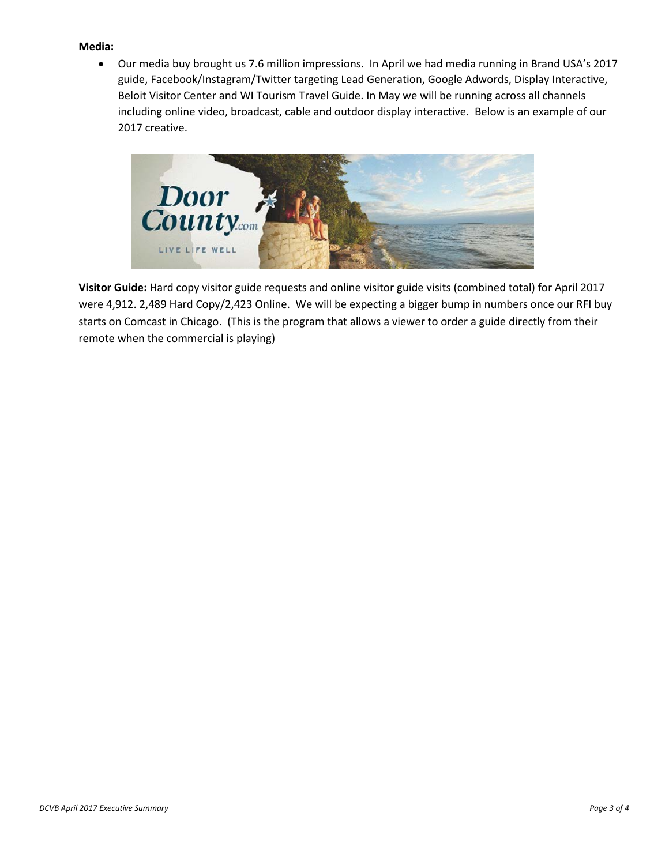### **Media:**

• Our media buy brought us 7.6 million impressions. In April we had media running in Brand USA's 2017 guide, Facebook/Instagram/Twitter targeting Lead Generation, Google Adwords, Display Interactive, Beloit Visitor Center and WI Tourism Travel Guide. In May we will be running across all channels including online video, broadcast, cable and outdoor display interactive. Below is an example of our 2017 creative.



**Visitor Guide:** Hard copy visitor guide requests and online visitor guide visits (combined total) for April 2017 were 4,912. 2,489 Hard Copy/2,423 Online. We will be expecting a bigger bump in numbers once our RFI buy starts on Comcast in Chicago. (This is the program that allows a viewer to order a guide directly from their remote when the commercial is playing)